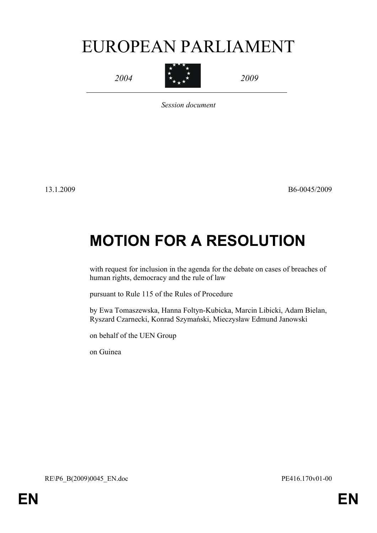# EUROPEAN PARLIAMENT

*2004*



*2009*

*Session document*

13.1.2009 B6-0045/2009

# **MOTION FOR A RESOLUTION**

with request for inclusion in the agenda for the debate on cases of breaches of human rights, democracy and the rule of law

pursuant to Rule 115 of the Rules of Procedure

by Ewa Tomaszewska, Hanna Foltyn-Kubicka, Marcin Libicki, Adam Bielan, Ryszard Czarnecki, Konrad Szymański, Mieczysław Edmund Janowski

on behalf of the UEN Group

<span id="page-0-0"></span>on Guinea

<span id="page-0-1"></span>RE\P6\_B(2009)0045\_EN.doc PE416.170v01-00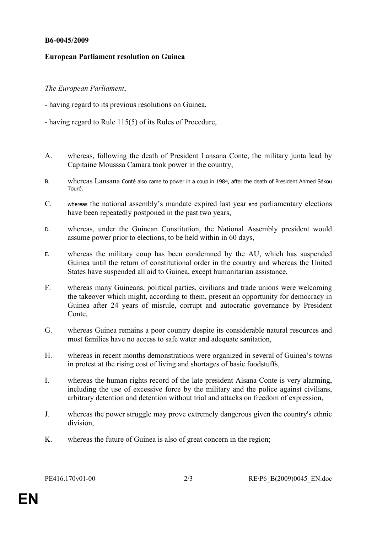#### **B6-0045/2009**

## **European Parliament resolution on Guinea**

## *The European Parliament*,

- having regard to its previous resolutions on Guinea,
- having regard to Rule 115(5) of its Rules of Procedure,
- A. whereas, following the death of President Lansana Conte, the military junta lead by Capitaine Mousssa Camara took power in the country,
- B. whereas Lansana Conté also came to power in a coup in 1984, after the death of President Ahmed Sékou Touré,
- C. whereas the national assembly's mandate expired last year and parliamentary elections have been repeatedly postponed in the past two years,
- D. whereas, under the Guinean Constitution, the National Assembly president would assume power prior to elections, to be held within in 60 days,
- E. whereas the military coup has been condemned by the AU, which has suspended Guinea until the return of constitutional order in the country and whereas the United States have suspended all aid to Guinea, except humanitarian assistance,
- F. whereas many Guineans, political parties, civilians and trade unions were welcoming the takeover which might, according to them, present an opportunity for democracy in Guinea after 24 years of misrule, corrupt and autocratic governance by President Conte,
- G. whereas Guinea remains a poor country despite its considerable natural resources and most families have no access to safe water and adequate sanitation,
- H. whereas in recent months demonstrations were organized in several of Guinea's towns in protest at the rising cost of living and shortages of basic foodstuffs,
- I. whereas the human rights record of the late president Alsana Conte is very alarming, including the use of excessive force by the military and the police against civilians, arbitrary detention and detention without trial and attacks on freedom of expression,
- J. whereas the power struggle may prove extremely dangerous given the country's ethnic division,
- K. whereas the future of Guinea is also of great concern in the region;